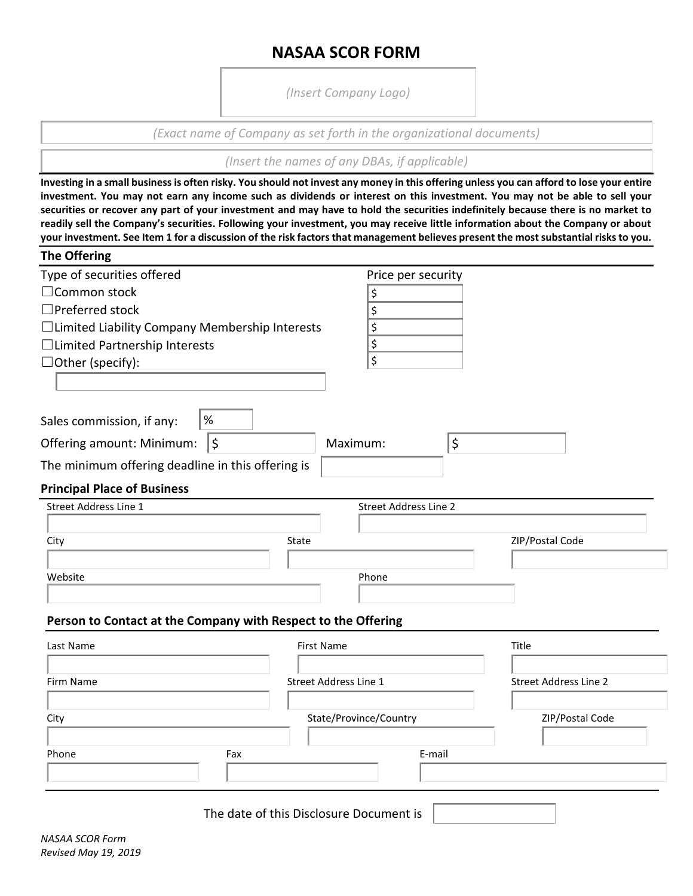# **NASAA SCOR FORM**

*(Insert Company Logo)*

*(Exact name of Company as set forth in the organizational documents)*

*(Insert the names of any DBAs, if applicable)*

**Investing in a small business is often risky. You should not invest any money in this offering unless you can afford to lose your entire investment. You may not earn any income such as dividends or interest on this investment. You may not be able to sell your securities or recover any part of your investment and may have to hold the securities indefinitely because there is no market to readily sell the Company's securities. Following your investment, you may receive little information about the Company or about your investment. See Item 1 for a discussion of the risk factors that management believes present the most substantial risks to you.**

| <b>The Offering</b>                                           |                              |                              |
|---------------------------------------------------------------|------------------------------|------------------------------|
| Type of securities offered                                    | Price per security           |                              |
| □ Common stock                                                | \$                           |                              |
| □Preferred stock                                              | \$                           |                              |
| □Limited Liability Company Membership Interests               | \$                           |                              |
| □Limited Partnership Interests                                | \$                           |                              |
| $\Box$ Other (specify):                                       | \$                           |                              |
|                                                               |                              |                              |
|                                                               |                              |                              |
| $\%$<br>Sales commission, if any:                             |                              |                              |
| $\zeta$<br>Offering amount: Minimum:                          | \$<br>Maximum:               |                              |
| The minimum offering deadline in this offering is             |                              |                              |
| <b>Principal Place of Business</b>                            |                              |                              |
| Street Address Line 1                                         | <b>Street Address Line 2</b> |                              |
|                                                               |                              |                              |
| City                                                          | State                        | ZIP/Postal Code              |
|                                                               |                              |                              |
| Website                                                       | Phone                        |                              |
|                                                               |                              |                              |
| Person to Contact at the Company with Respect to the Offering |                              |                              |
| Last Name                                                     | <b>First Name</b>            | Title                        |
|                                                               |                              |                              |
| Firm Name                                                     | Street Address Line 1        | <b>Street Address Line 2</b> |
|                                                               |                              |                              |
| City                                                          | State/Province/Country       | ZIP/Postal Code              |
|                                                               |                              |                              |
| Phone<br>Fax                                                  | E-mail                       |                              |
|                                                               |                              |                              |
|                                                               |                              |                              |

The date of this Disclosure Document is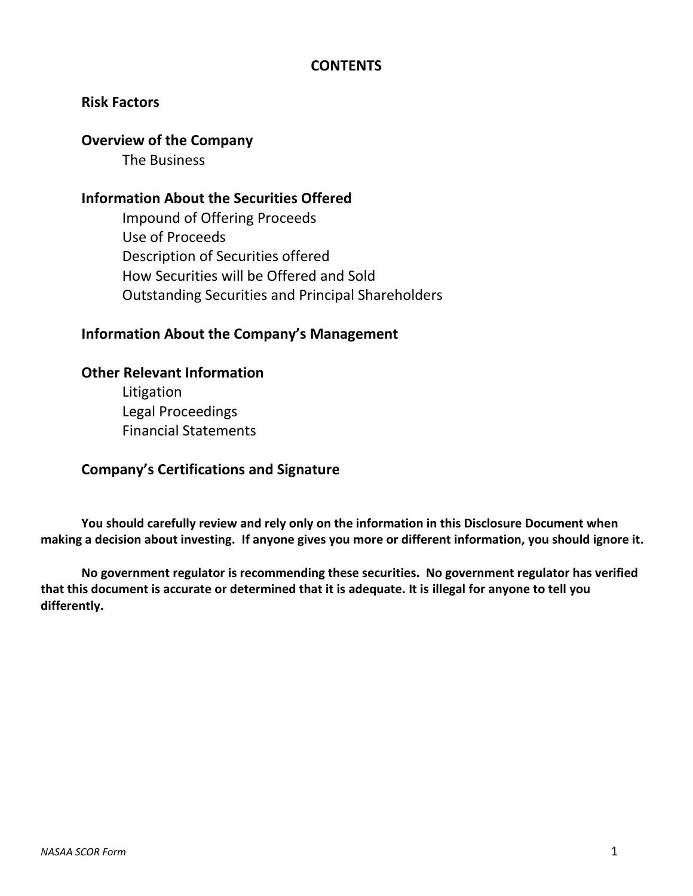## **CONTENTS**

## **Risk Factors**

## **Overview of the Company**

The Business

## **Information About the Securities Offered**

Impound of Offering Proceeds Use of Proceeds Description of Securities offered How Securities will be Offered and Sold Outstanding Securities and Principal Shareholders

# **Information About the Company's Management**

## **Other Relevant Information**

Litigation Legal Proceedings Financial Statements

## **Company's Certifications and Signature**

**You should carefully review and rely only on the information in this Disclosure Document when making a decision about investing. If anyone gives you more or different information, you should ignore it.** 

**No government regulator is recommending these securities. No government regulator has verified that this document is accurate or determined that it is adequate. It is illegal for anyone to tell you differently.**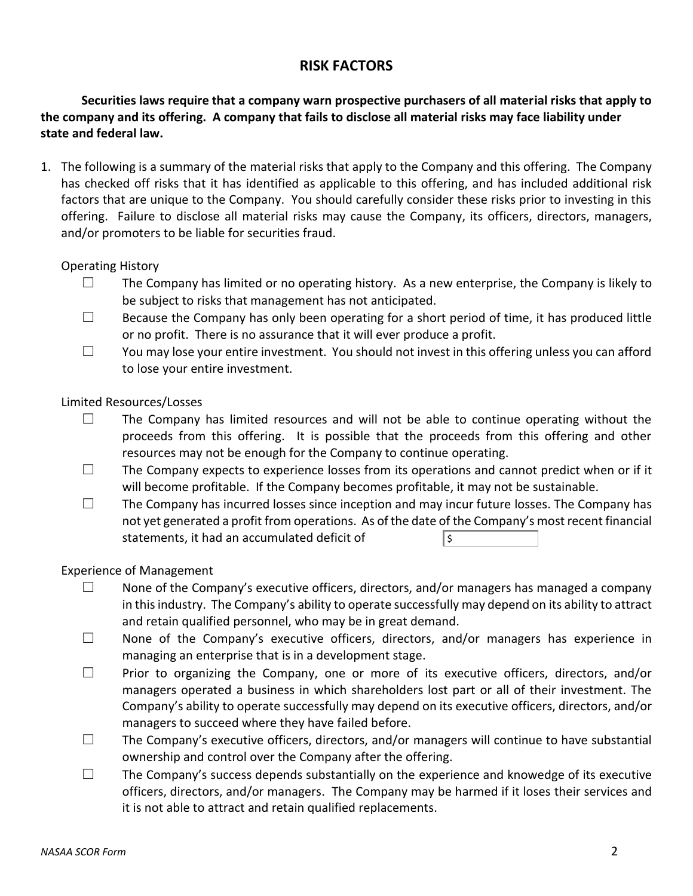## **RISK FACTORS**

**Securities laws require that a company warn prospective purchasers of all material risks that apply to the company and its offering. A company that fails to disclose all material risks may face liability under state and federal law.** 

1. The following is a summary of the material risks that apply to the Company and this offering. The Company has checked off risks that it has identified as applicable to this offering, and has included additional risk factors that are unique to the Company. You should carefully consider these risks prior to investing in this offering. Failure to disclose all material risks may cause the Company, its officers, directors, managers, and/or promoters to be liable for securities fraud.

## Operating History

- $\Box$  The Company has limited or no operating history. As a new enterprise, the Company is likely to be subject to risks that management has not anticipated.
- $\Box$  Because the Company has only been operating for a short period of time, it has produced little or no profit. There is no assurance that it will ever produce a profit.
- ☐ You may lose your entire investment. You should not invest in this offering unless you can afford to lose your entire investment.

## Limited Resources/Losses

- $\square$  The Company has limited resources and will not be able to continue operating without the proceeds from this offering. It is possible that the proceeds from this offering and other resources may not be enough for the Company to continue operating.
- $\Box$  The Company expects to experience losses from its operations and cannot predict when or if it will become profitable. If the Company becomes profitable, it may not be sustainable.
- ☐ The Company has incurred losses since inception and may incur future losses. The Company has not yet generated a profit from operations. As of the date of the Company's most recent financial statements, it had an accumulated deficit of \$

## Experience of Management

- $\Box$  None of the Company's executive officers, directors, and/or managers has managed a company in this industry. The Company's ability to operate successfully may depend on its ability to attract and retain qualified personnel, who may be in great demand.
- ☐ None of the Company's executive officers, directors, and/or managers has experience in managing an enterprise that is in a development stage.
- ☐ Prior to organizing the Company, one or more of its executive officers, directors, and/or managers operated a business in which shareholders lost part or all of their investment. The Company's ability to operate successfully may depend on its executive officers, directors, and/or managers to succeed where they have failed before.
- ☐ The Company's executive officers, directors, and/or managers will continue to have substantial ownership and control over the Company after the offering.
- $\Box$  The Company's success depends substantially on the experience and knowedge of its executive officers, directors, and/or managers. The Company may be harmed if it loses their services and it is not able to attract and retain qualified replacements.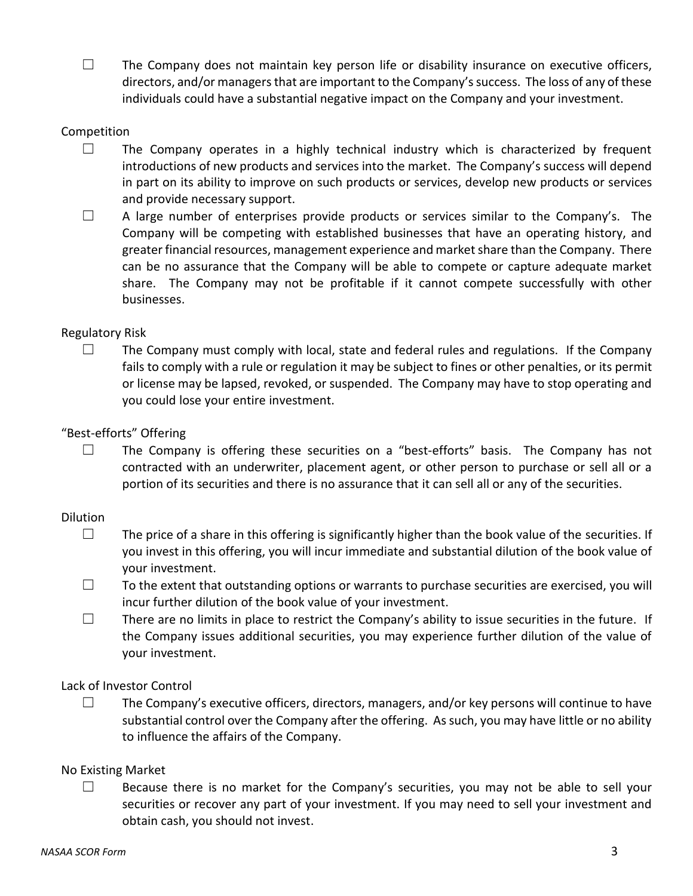$\Box$  The Company does not maintain key person life or disability insurance on executive officers, directors, and/or managersthat are important to the Company's success. The loss of any of these individuals could have a substantial negative impact on the Company and your investment.

#### Competition

- ☐ The Company operates in a highly technical industry which is characterized by frequent introductions of new products and services into the market. The Company's success will depend in part on its ability to improve on such products or services, develop new products or services and provide necessary support.
- $\Box$  A large number of enterprises provide products or services similar to the Company's. The Company will be competing with established businesses that have an operating history, and greater financial resources, management experience and market share than the Company. There can be no assurance that the Company will be able to compete or capture adequate market share. The Company may not be profitable if it cannot compete successfully with other businesses.

#### Regulatory Risk

 $\Box$  The Company must comply with local, state and federal rules and regulations. If the Company fails to comply with a rule or regulation it may be subject to fines or other penalties, or its permit or license may be lapsed, revoked, or suspended. The Company may have to stop operating and you could lose your entire investment.

#### "Best-efforts" Offering

 $\square$  The Company is offering these securities on a "best-efforts" basis. The Company has not contracted with an underwriter, placement agent, or other person to purchase or sell all or a portion of its securities and there is no assurance that it can sell all or any of the securities.

#### Dilution

- $\Box$  The price of a share in this offering is significantly higher than the book value of the securities. If you invest in this offering, you will incur immediate and substantial dilution of the book value of your investment.
- $\Box$  To the extent that outstanding options or warrants to purchase securities are exercised, you will incur further dilution of the book value of your investment.
- $\Box$  There are no limits in place to restrict the Company's ability to issue securities in the future. If the Company issues additional securities, you may experience further dilution of the value of your investment.

#### Lack of Investor Control

 $\Box$  The Company's executive officers, directors, managers, and/or key persons will continue to have substantial control over the Company after the offering. As such, you may have little or no ability to influence the affairs of the Company.

#### No Existing Market

 $\Box$  Because there is no market for the Company's securities, you may not be able to sell your securities or recover any part of your investment. If you may need to sell your investment and obtain cash, you should not invest.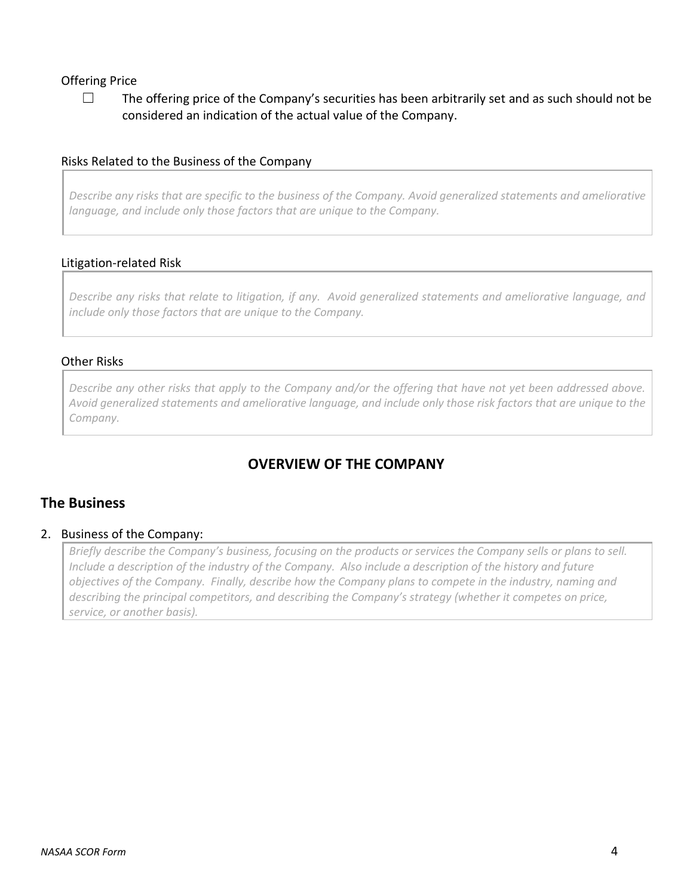## Offering Price

 $\Box$  The offering price of the Company's securities has been arbitrarily set and as such should not be considered an indication of the actual value of the Company.

#### Risks Related to the Business of the Company

*Describe any risks that are specific to the business of the Company. Avoid generalized statements and ameliorative language, and include only those factors that are unique to the Company.* 

#### Litigation-related Risk

*Describe any risks that relate to litigation, if any. Avoid generalized statements and ameliorative language, and include only those factors that are unique to the Company.*

#### Other Risks

*Describe any other risks that apply to the Company and/or the offering that have not yet been addressed above. Avoid generalized statements and ameliorative language, and include only those risk factors that are unique to the Company.*

# **OVERVIEW OF THE COMPANY**

## **The Business**

#### 2. Business of the Company:

*Briefly describe the Company's business, focusing on the products or services the Company sells or plans to sell. Include a description of the industry of the Company. Also include a description of the history and future objectives of the Company. Finally, describe how the Company plans to compete in the industry, naming and describing the principal competitors, and describing the Company's strategy (whether it competes on price, service, or another basis).*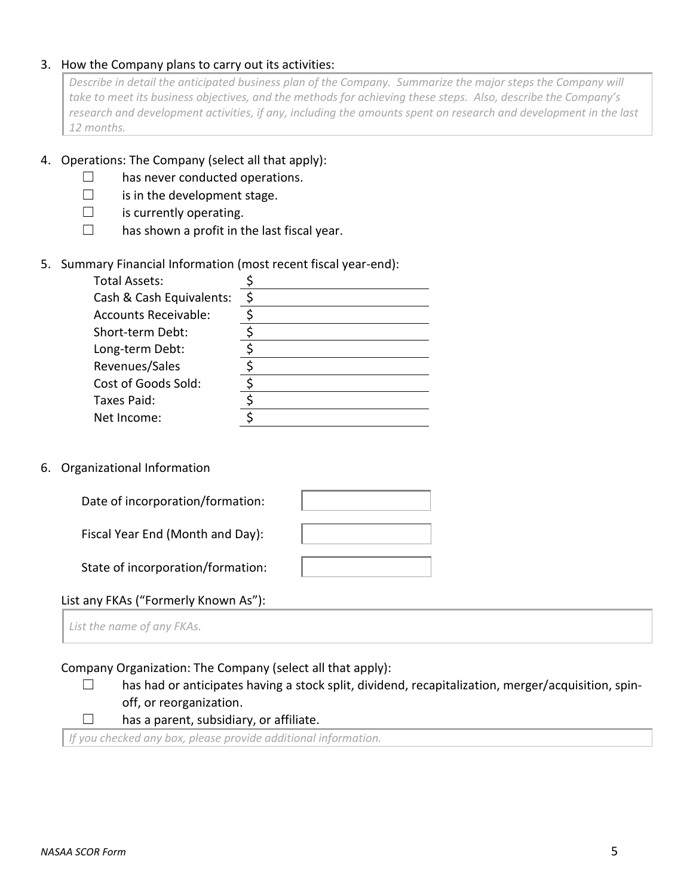#### 3. How the Company plans to carry out its activities:

*Describe in detail the anticipated business plan of the Company. Summarize the major steps the Company will take to meet its business objectives, and the methods for achieving these steps. Also, describe the Company's*  research and development activities, if any, including the amounts spent on research and development in the last *12 months.* 

#### 4. Operations: The Company (select all that apply):

- $\Box$  has never conducted operations.
- $\Box$  is in the development stage.
- $\Box$  is currently operating.
- $\Box$  has shown a profit in the last fiscal year.

## 5. Summary Financial Information (most recent fiscal year-end):

| <b>Total Assets:</b>        |   |
|-----------------------------|---|
| Cash & Cash Equivalents:    | ς |
| <b>Accounts Receivable:</b> |   |
| Short-term Debt:            |   |
| Long-term Debt:             |   |
| Revenues/Sales              |   |
| Cost of Goods Sold:         |   |
| Taxes Paid:                 |   |
| Net Income:                 |   |
|                             |   |

#### 6. Organizational Information

| Date of incorporation/formation:  |  |
|-----------------------------------|--|
| Fiscal Year End (Month and Day):  |  |
| State of incorporation/formation: |  |

## List any FKAs ("Formerly Known As"):

*List the name of any FKAs.*

#### Company Organization: The Company (select all that apply):

- □ has had or anticipates having a stock split, dividend, recapitalization, merger/acquisition, spinoff, or reorganization.
- $\Box$  has a parent, subsidiary, or affiliate.

*If you checked any box, please provide additional information.*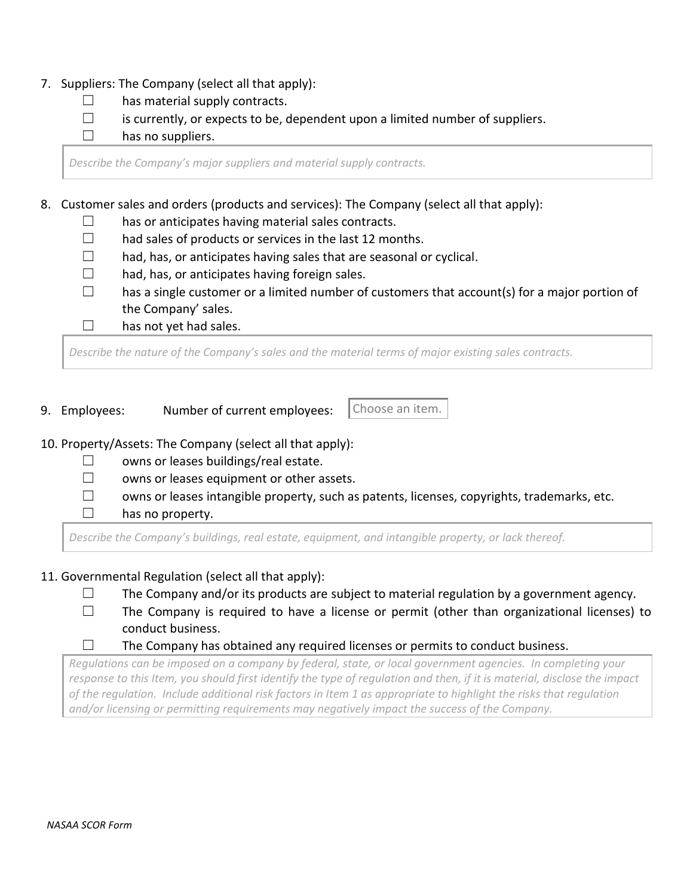- 7. Suppliers: The Company (select all that apply):
	- $\Box$  has material supply contracts.
	- $\Box$  is currently, or expects to be, dependent upon a limited number of suppliers.

 $\Box$  has no suppliers.

*Describe the Company's major suppliers and material supply contracts.*

8. Customer sales and orders (products and services): The Company (select all that apply):

- $\Box$  has or anticipates having material sales contracts.
- $\Box$  had sales of products or services in the last 12 months.
- $\Box$  had, has, or anticipates having sales that are seasonal or cyclical.
- $\Box$  had, has, or anticipates having foreign sales.
- $\Box$  has a single customer or a limited number of customers that account(s) for a major portion of the Company' sales.
- $\Box$  has not yet had sales.

*Describe the nature of the Company's sales and the material terms of major existing sales contracts.*

9. Employees: Number of current employees:

Choose an item.

- 10. Property/Assets: The Company (select all that apply):
	- $\Box$  owns or leases buildings/real estate.
	- ☐ owns or leases equipment or other assets.
	- ☐ owns or leases intangible property, such as patents, licenses, copyrights, trademarks, etc.
	- $\Box$  has no property.

*Describe the Company's buildings, real estate, equipment, and intangible property, or lack thereof.*

- 11. Governmental Regulation (select all that apply):
	- $\Box$  The Company and/or its products are subject to material regulation by a government agency.
	- $\Box$  The Company is required to have a license or permit (other than organizational licenses) to conduct business.
	- $\Box$  The Company has obtained any required licenses or permits to conduct business.

*Regulations can be imposed on a company by federal, state, or local government agencies. In completing your response to this Item, you should first identify the type of regulation and then, if it is material, disclose the impact of the regulation. Include additional risk factors in Item 1 as appropriate to highlight the risks that regulation and/or licensing or permitting requirements may negatively impact the success of the Company.*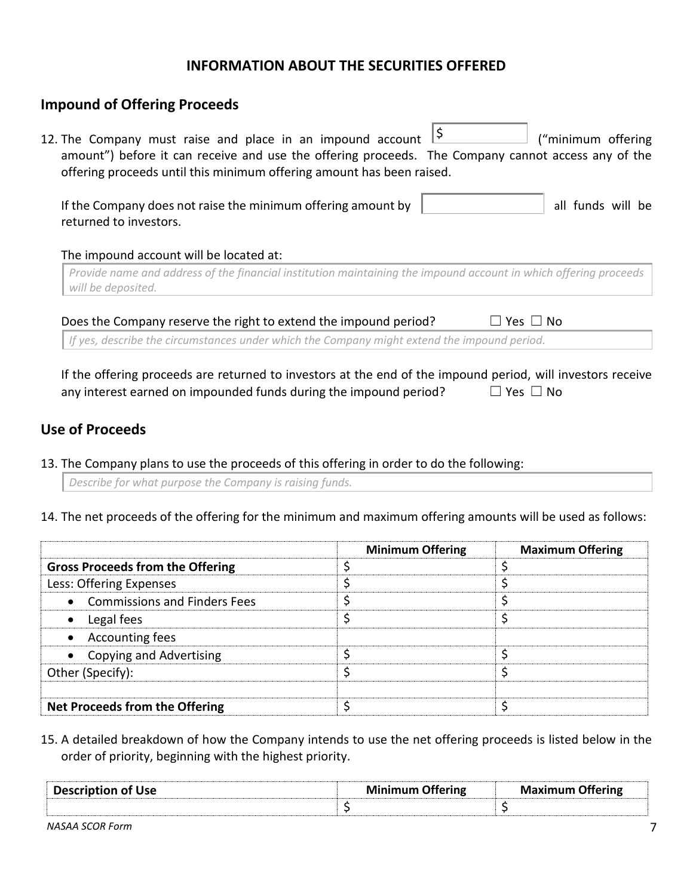## **INFORMATION ABOUT THE SECURITIES OFFERED**

## **Impound of Offering Proceeds**

| 12. The Company must raise and place in an impound account<br>amount") before it can receive and use the offering proceeds. The Company cannot access any of the<br>offering proceeds until this minimum offering amount has been raised. | ("minimum offering |
|-------------------------------------------------------------------------------------------------------------------------------------------------------------------------------------------------------------------------------------------|--------------------|
| If the Company does not raise the minimum offering amount by<br>returned to investors.<br>The impound account will be located at:                                                                                                         | all funds will be  |
| Provide name and address of the financial institution maintaining the impound account in which offering proceeds<br>will be deposited.                                                                                                    |                    |

*If yes, describe the circumstances under which the Company might extend the impound period.*

If the offering proceeds are returned to investors at the end of the impound period, will investors receive any interest earned on impounded funds during the impound period?  $□$  Yes  $□$  No

## **Use of Proceeds**

13. The Company plans to use the proceeds of this offering in order to do the following:

*Describe for what purpose the Company is raising funds.*

14. The net proceeds of the offering for the minimum and maximum offering amounts will be used as follows:

|                                         | <b>Minimum Offering</b> | <b>Maximum Offering</b> |
|-----------------------------------------|-------------------------|-------------------------|
| <b>Gross Proceeds from the Offering</b> |                         |                         |
| Less: Offering Expenses                 |                         |                         |
| • Commissions and Finders Fees          |                         |                         |
| Legal fees                              |                         |                         |
| • Accounting fees                       |                         |                         |
| <b>Copying and Advertising</b>          |                         |                         |
| Other (Specify):                        |                         |                         |
|                                         |                         |                         |
| Net Proceeds from the Offering          |                         |                         |

15. A detailed breakdown of how the Company intends to use the net offering proceeds is listed below in the order of priority, beginning with the highest priority.

| Description of Use | Minimum<br>utering | Maximum<br><b>)ttering</b> |
|--------------------|--------------------|----------------------------|
|                    |                    |                            |

*NASAA SCOR Form* 7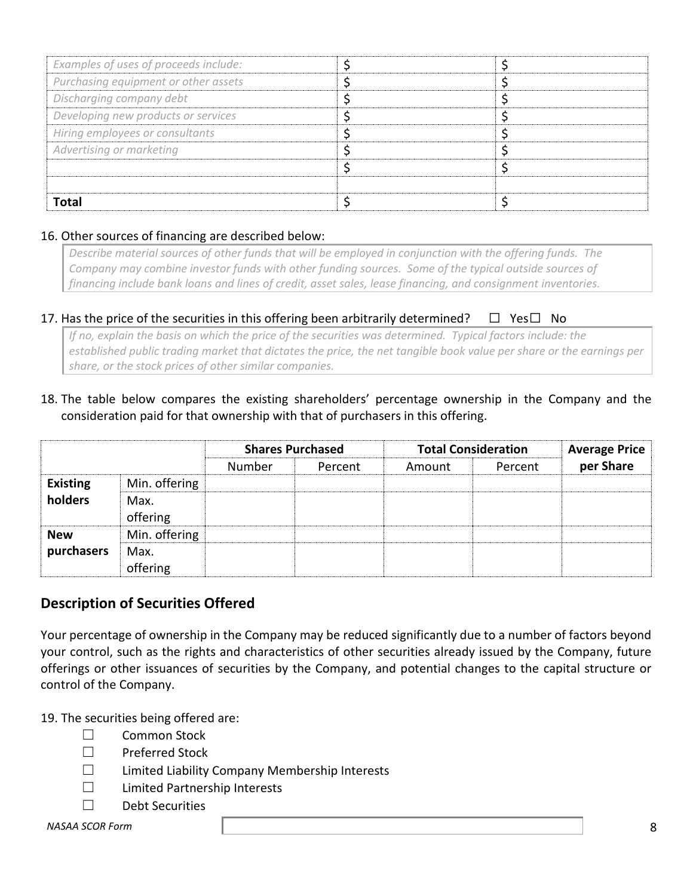| Examples of uses of proceeds include: |  |
|---------------------------------------|--|
| Purchasing equipment or other assets  |  |
| Discharging company debt              |  |
| Developing new products or services   |  |
| Hiring employees or consultants       |  |
| Advertising or marketing              |  |
|                                       |  |
|                                       |  |
| Total                                 |  |

## 16. Other sources of financing are described below:

*Describe material sources of other funds that will be employed in conjunction with the offering funds. The Company may combine investor funds with other funding sources. Some of the typical outside sources of financing include bank loans and lines of credit, asset sales, lease financing, and consignment inventories.*

## 17. Has the price of the securities in this offering been arbitrarily determined?  $\Box$  Yes $\Box$  No

*If no, explain the basis on which the price of the securities was determined. Typical factors include: the established public trading market that dictates the price, the net tangible book value per share or the earnings per share, or the stock prices of other similar companies.*

18. The table below compares the existing shareholders' percentage ownership in the Company and the consideration paid for that ownership with that of purchasers in this offering.

|                 |                  | <b>Shares Purchased</b> |         | <b>Total Consideration</b> |         | <b>Average Price</b> |
|-----------------|------------------|-------------------------|---------|----------------------------|---------|----------------------|
|                 |                  | Number                  | Percent | Amount                     | Percent | per Share            |
| <b>Existing</b> | Min. offering    |                         |         |                            |         |                      |
| holders         | Max.<br>offering |                         |         |                            |         |                      |
| <b>New</b>      | Min. offering    |                         |         |                            |         |                      |
| purchasers      | Max.             |                         |         |                            |         |                      |
|                 | offering         |                         |         |                            |         |                      |

## **Description of Securities Offered**

Your percentage of ownership in the Company may be reduced significantly due to a number of factors beyond your control, such as the rights and characteristics of other securities already issued by the Company, future offerings or other issuances of securities by the Company, and potential changes to the capital structure or control of the Company.

19. The securities being offered are:

- ☐ Common Stock
- ☐ Preferred Stock
- ☐ Limited Liability Company Membership Interests
- ☐ Limited Partnership Interests
- ☐ Debt Securities

#### *NASAA SCOR Form* 8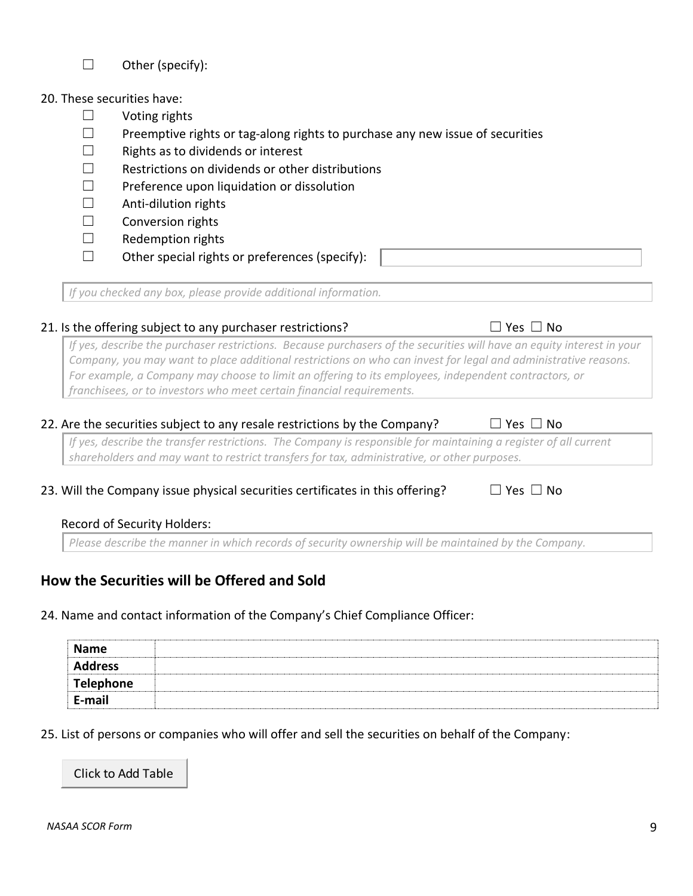# ☐ Other (specify):

#### 20. These securities have:

- ☐ Voting rights
- □ Preemptive rights or tag-along rights to purchase any new issue of securities
- ☐ Rights as to dividends or interest
- $\Box$  Restrictions on dividends or other distributions
- ☐ Preference upon liquidation or dissolution
- $\Box$  Anti-dilution rights
- ☐ Conversion rights
- ☐ Redemption rights
- $\Box$  Other special rights or preferences (specify):

*If you checked any box, please provide additional information.*

## 21. Is the offering subject to any purchaser restrictions?  $\Box$  Yes  $\Box$  No

*If yes, describe the purchaser restrictions. Because purchasers of the securities will have an equity interest in your Company, you may want to place additional restrictions on who can invest for legal and administrative reasons. For example, a Company may choose to limit an offering to its employees, independent contractors, or franchisees, or to investors who meet certain financial requirements.*

## 22. Are the securities subject to any resale restrictions by the Company?  $\Box$  Yes  $\Box$  No

*If yes, describe the transfer restrictions. The Company is responsible for maintaining a register of all current shareholders and may want to restrict transfers for tax, administrative, or other purposes.* 

## 23. Will the Company issue physical securities certificates in this offering?  $\Box$

## Record of Security Holders:

*Please describe the manner in which records of security ownership will be maintained by the Company.*

# **How the Securities will be Offered and Sold**

24. Name and contact information of the Company's Chief Compliance Officer:

| <b>Name</b>      |  |
|------------------|--|
| <b>Address</b>   |  |
| <b>Telephone</b> |  |
| E-mail           |  |

25. List of persons or companies who will offer and sell the securities on behalf of the Company:

Click to Add Table

| Nο<br>Yes |
|-----------|
|-----------|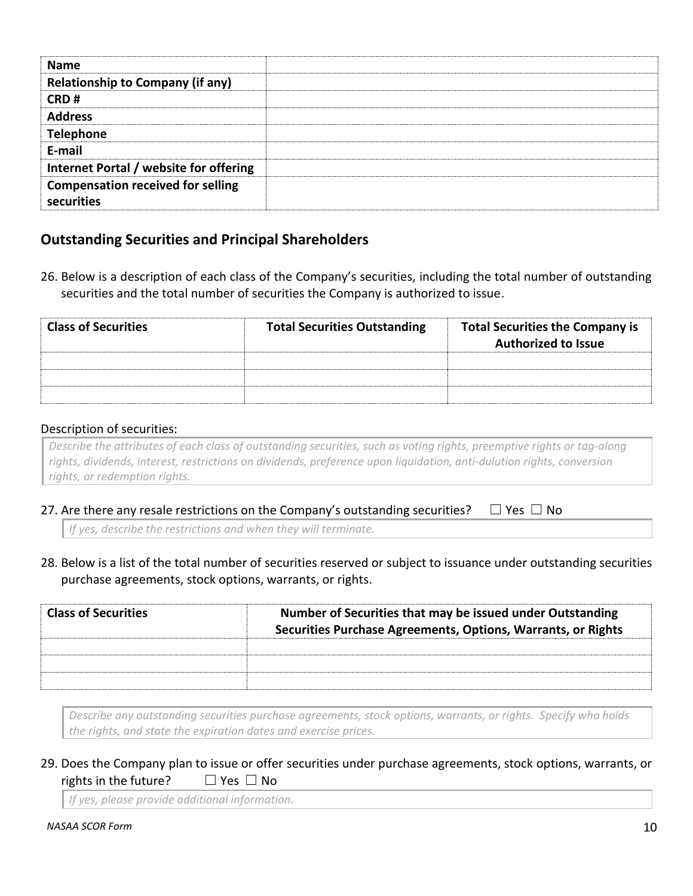| <b>Name</b>                              |  |
|------------------------------------------|--|
| <b>Relationship to Company (if any)</b>  |  |
|                                          |  |
| CRD#                                     |  |
| <b>Address</b>                           |  |
| <b>Telephone</b>                         |  |
| E-mail                                   |  |
| Internet Portal / website for offering   |  |
| <b>Compensation received for selling</b> |  |
| securities                               |  |

## **Outstanding Securities and Principal Shareholders**

26. Below is a description of each class of the Company's securities, including the total number of outstanding securities and the total number of securities the Company is authorized to issue.

| <b>Class of Securities</b> | <b>Total Securities Outstanding</b> | <b>Total Securities the Company is</b><br><b>Authorized to Issue</b> |
|----------------------------|-------------------------------------|----------------------------------------------------------------------|
|                            |                                     |                                                                      |
|                            |                                     |                                                                      |
|                            |                                     |                                                                      |

## Description of securities:

*Describe the attributes of each class of outstanding securities, such as voting rights, preemptive rights or tag-along rights, dividends, interest, restrictions on dividends, preference upon liquidation, anti-dulution rights, conversion rights, or redemption rights.*

27. Are there any resale restrictions on the Company's outstanding securities?  $\Box$  Yes  $\Box$  No

*If yes, describe the restrictions and when they will terminate.*

28. Below is a list of the total number of securities reserved or subject to issuance under outstanding securities purchase agreements, stock options, warrants, or rights.

| <b>Class of Securities</b> | Number of Securities that may be issued under Outstanding<br>Securities Purchase Agreements, Options, Warrants, or Rights |
|----------------------------|---------------------------------------------------------------------------------------------------------------------------|
|                            |                                                                                                                           |
|                            |                                                                                                                           |
|                            |                                                                                                                           |

*Describe any outstanding securities purchase agreements, stock options, warrants, or rights. Specify who holds the rights, and state the expiration dates and exercise prices.*

## 29. Does the Company plan to issue or offer securities under purchase agreements, stock options, warrants, or rights in the future?  $□$  Yes  $□$  No

*If yes, please provide additional information.*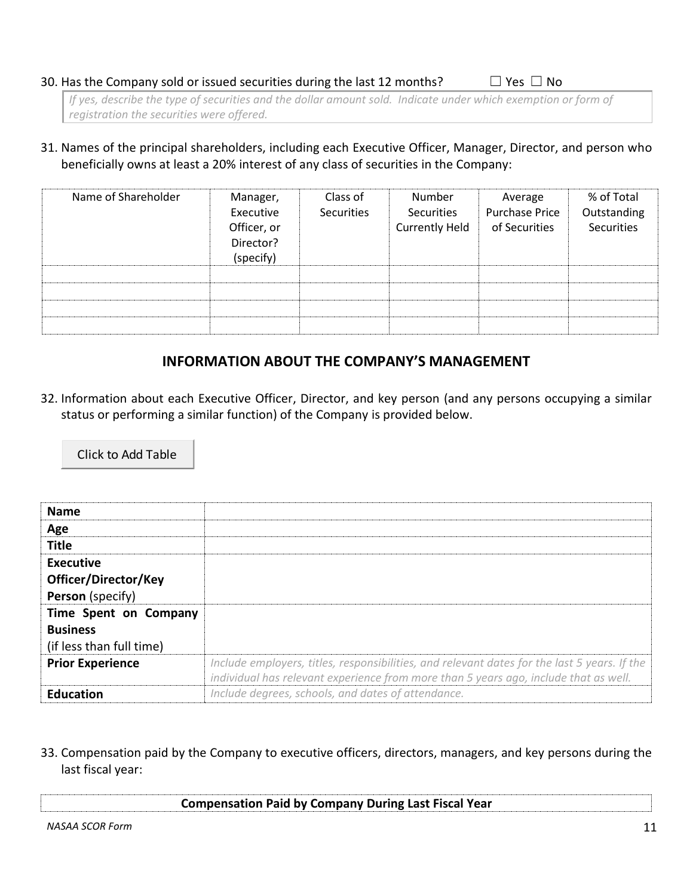#### 30. Has the Company sold or issued securities during the last 12 months?  $□$  Yes  $□$  No

*If yes, describe the type of securities and the dollar amount sold. Indicate under which exemption or form of registration the securities were offered.*

31. Names of the principal shareholders, including each Executive Officer, Manager, Director, and person who beneficially owns at least a 20% interest of any class of securities in the Company:

| Name of Shareholder | Manager,<br>Executive<br>Officer, or<br>Director?<br>(specify) | Class of<br><b>Securities</b> | Number<br>Securities<br><b>Currently Held</b> | Average<br><b>Purchase Price</b><br>of Securities | % of Total<br>Outstanding<br>Securities |
|---------------------|----------------------------------------------------------------|-------------------------------|-----------------------------------------------|---------------------------------------------------|-----------------------------------------|
|                     |                                                                |                               |                                               |                                                   |                                         |
|                     |                                                                |                               |                                               |                                                   |                                         |
|                     |                                                                |                               |                                               |                                                   |                                         |
|                     |                                                                |                               |                                               |                                                   |                                         |

## **INFORMATION ABOUT THE COMPANY'S MANAGEMENT**

32. Information about each Executive Officer, Director, and key person (and any persons occupying a similar status or performing a similar function) of the Company is provided below.

Click to Add Table

| <b>Name</b>              |                                                                                              |
|--------------------------|----------------------------------------------------------------------------------------------|
| Age                      |                                                                                              |
| <b>Title</b>             |                                                                                              |
| Executive                |                                                                                              |
| Officer/Director/Key     |                                                                                              |
| <b>Person</b> (specify)  |                                                                                              |
| Time Spent on Company    |                                                                                              |
| <b>Business</b>          |                                                                                              |
| (if less than full time) |                                                                                              |
| <b>Prior Experience</b>  | Include employers, titles, responsibilities, and relevant dates for the last 5 years. If the |
|                          | individual has relevant experience from more than 5 years ago, include that as well.         |
| <b>Education</b>         | Include degrees, schools, and dates of attendance.                                           |

33. Compensation paid by the Company to executive officers, directors, managers, and key persons during the last fiscal year:

| <b>Compensation Paid by Company During Last Fiscal Year</b> |
|-------------------------------------------------------------|
|                                                             |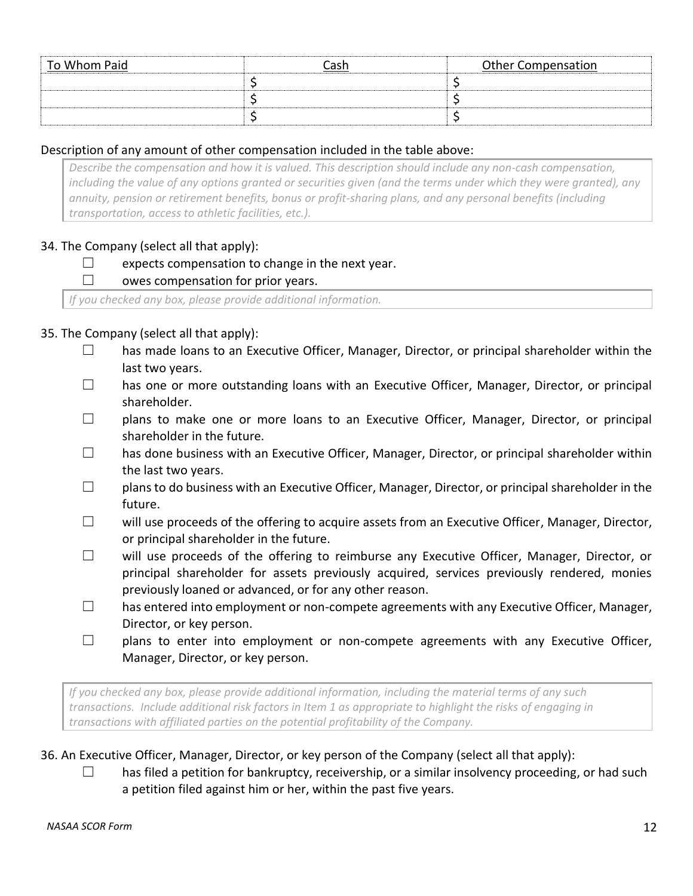| To Whom Paid | Cash | <b>Other Compensation</b> |
|--------------|------|---------------------------|
|              |      |                           |
|              |      |                           |
|              |      |                           |

## Description of any amount of other compensation included in the table above:

*Describe the compensation and how it is valued. This description should include any non-cash compensation, including the value of any options granted or securities given (and the terms under which they were granted), any annuity, pension or retirement benefits, bonus or profit-sharing plans, and any personal benefits (including transportation, access to athletic facilities, etc.).*

## 34. The Company (select all that apply):

## $\Box$  expects compensation to change in the next year.

## $\Box$  owes compensation for prior years.

*If you checked any box, please provide additional information.*

## 35. The Company (select all that apply):

- ☐ has made loans to an Executive Officer, Manager, Director, or principal shareholder within the last two years.
- ☐ has one or more outstanding loans with an Executive Officer, Manager, Director, or principal shareholder.
- □ plans to make one or more loans to an Executive Officer, Manager, Director, or principal shareholder in the future.
- □ has done business with an Executive Officer, Manager, Director, or principal shareholder within the last two years.
- $\Box$  plans to do business with an Executive Officer, Manager, Director, or principal shareholder in the future.
- ☐ will use proceeds of the offering to acquire assets from an Executive Officer, Manager, Director, or principal shareholder in the future.
- ☐ will use proceeds of the offering to reimburse any Executive Officer, Manager, Director, or principal shareholder for assets previously acquired, services previously rendered, monies previously loaned or advanced, or for any other reason.
- $\square$  has entered into employment or non-compete agreements with any Executive Officer, Manager, Director, or key person.
- $\Box$  plans to enter into employment or non-compete agreements with any Executive Officer, Manager, Director, or key person.

*If you checked any box, please provide additional information, including the material terms of any such transactions. Include additional risk factors in Item 1 as appropriate to highlight the risks of engaging in transactions with affiliated parties on the potential profitability of the Company.*

## 36. An Executive Officer, Manager, Director, or key person of the Company (select all that apply):

 $\square$  has filed a petition for bankruptcy, receivership, or a similar insolvency proceeding, or had such a petition filed against him or her, within the past five years.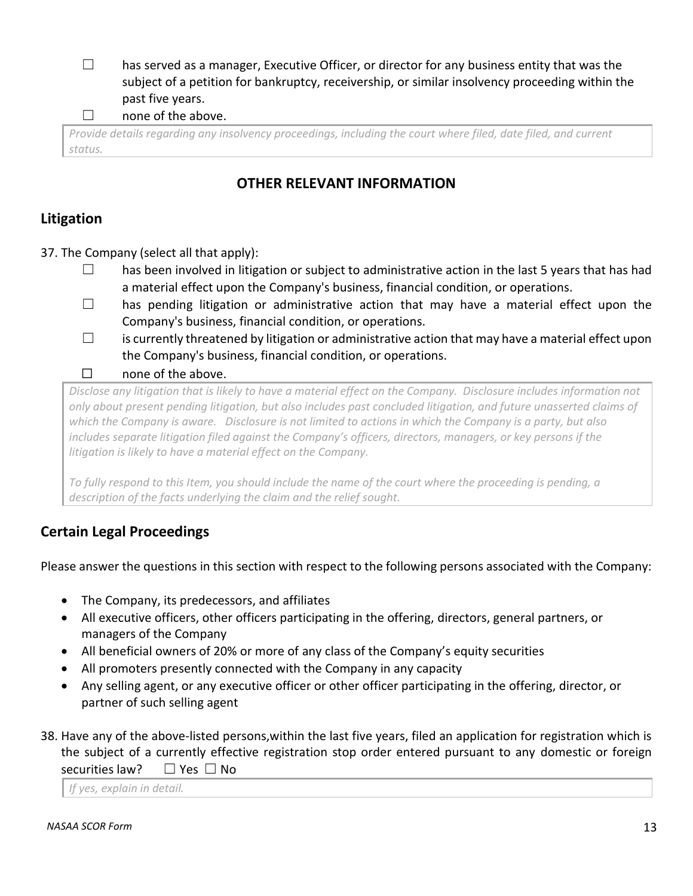$\Box$  has served as a manager, Executive Officer, or director for any business entity that was the subject of a petition for bankruptcy, receivership, or similar insolvency proceeding within the past five years.

 $\Box$  none of the above.

*Provide details regarding any insolvency proceedings, including the court where filed, date filed, and current status.*

# **OTHER RELEVANT INFORMATION**

# **Litigation**

37. The Company (select all that apply):

- □ has been involved in litigation or subject to administrative action in the last 5 years that has had a material effect upon the Company's business, financial condition, or operations.
- $\Box$  has pending litigation or administrative action that may have a material effect upon the Company's business, financial condition, or operations.
- $\square$  is currently threatened by litigation or administrative action that may have a material effect upon the Company's business, financial condition, or operations.
- ☐ none of the above.

*Disclose any litigation that is likely to have a material effect on the Company. Disclosure includes information not only about present pending litigation, but also includes past concluded litigation, and future unasserted claims of which the Company is aware. Disclosure is not limited to actions in which the Company is a party, but also includes separate litigation filed against the Company's officers, directors, managers, or key persons if the litigation is likely to have a material effect on the Company.* 

*To fully respond to this Item, you should include the name of the court where the proceeding is pending, a description of the facts underlying the claim and the relief sought.* 

# **Certain Legal Proceedings**

Please answer the questions in this section with respect to the following persons associated with the Company:

- The Company, its predecessors, and affiliates
- All executive officers, other officers participating in the offering, directors, general partners, or managers of the Company
- All beneficial owners of 20% or more of any class of the Company's equity securities
- All promoters presently connected with the Company in any capacity
- Any selling agent, or any executive officer or other officer participating in the offering, director, or partner of such selling agent
- 38. Have any of the above-listed persons,within the last five years, filed an application for registration which is the subject of a currently effective registration stop order entered pursuant to any domestic or foreign securities law? □ Yes □ No

*If yes, explain in detail.*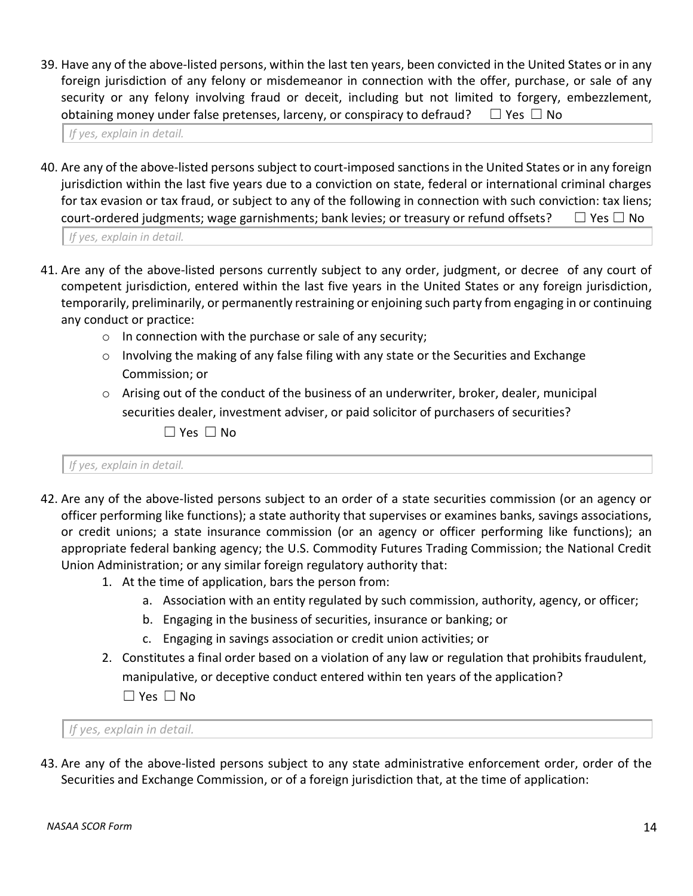39. Have any of the above-listed persons, within the last ten years, been convicted in the United States or in any foreign jurisdiction of any felony or misdemeanor in connection with the offer, purchase, or sale of any security or any felony involving fraud or deceit, including but not limited to forgery, embezzlement, obtaining money under false pretenses, larceny, or conspiracy to defraud?  $\Box$  Yes  $\Box$  No

*If yes, explain in detail.*

40. Are any of the above-listed persons subject to court-imposed sanctions in the United States or in any foreign jurisdiction within the last five years due to a conviction on state, federal or international criminal charges for tax evasion or tax fraud, or subject to any of the following in connection with such conviction: tax liens; court-ordered judgments; wage garnishments; bank levies; or treasury or refund offsets?  $□$  Yes  $□$  No

*If yes, explain in detail.*

- 41. Are any of the above-listed persons currently subject to any order, judgment, or decree of any court of competent jurisdiction, entered within the last five years in the United States or any foreign jurisdiction, temporarily, preliminarily, or permanently restraining or enjoining such party from engaging in or continuing any conduct or practice:
	- o In connection with the purchase or sale of any security;
	- $\circ$  Involving the making of any false filing with any state or the Securities and Exchange Commission; or
	- $\circ$  Arising out of the conduct of the business of an underwriter, broker, dealer, municipal securities dealer, investment adviser, or paid solicitor of purchasers of securities?

☐ Yes ☐ No

*If yes, explain in detail.*

- 42. Are any of the above-listed persons subject to an order of a state securities commission (or an agency or officer performing like functions); a state authority that supervises or examines banks, savings associations, or credit unions; a state insurance commission (or an agency or officer performing like functions); an appropriate federal banking agency; the U.S. Commodity Futures Trading Commission; the National Credit Union Administration; or any similar foreign regulatory authority that:
	- 1. At the time of application, bars the person from:
		- a. Association with an entity regulated by such commission, authority, agency, or officer;
		- b. Engaging in the business of securities, insurance or banking; or
		- c. Engaging in savings association or credit union activities; or
	- 2. Constitutes a final order based on a violation of any law or regulation that prohibits fraudulent, manipulative, or deceptive conduct entered within ten years of the application? ☐ Yes ☐ No

*If yes, explain in detail.*

43. Are any of the above-listed persons subject to any state administrative enforcement order, order of the Securities and Exchange Commission, or of a foreign jurisdiction that, at the time of application: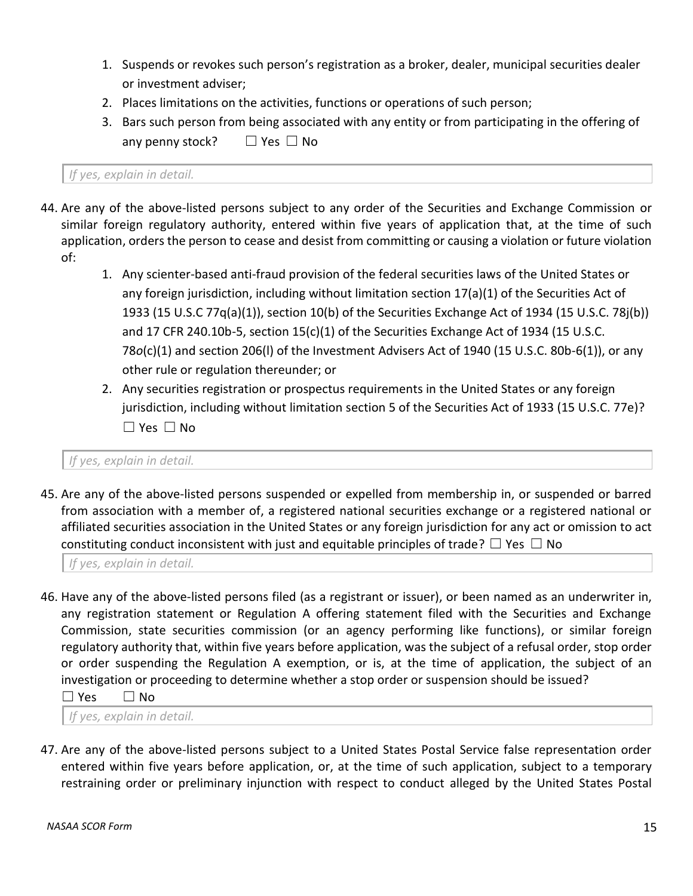- 1. Suspends or revokes such person's registration as a broker, dealer, municipal securities dealer or investment adviser;
- 2. Places limitations on the activities, functions or operations of such person;
- 3. Bars such person from being associated with any entity or from participating in the offering of any penny stock?  $□$  Yes  $□$  No

*If yes, explain in detail.*

- 44. Are any of the above-listed persons subject to any order of the Securities and Exchange Commission or similar foreign regulatory authority, entered within five years of application that, at the time of such application, orders the person to cease and desist from committing or causing a violation or future violation of:
	- 1. Any scienter-based anti-fraud provision of the federal securities laws of the United States or any foreign jurisdiction, including without limitation section 17(a)(1) of the Securities Act of 1933 (15 U.S.C 77q(a)(1)), section 10(b) of the Securities Exchange Act of 1934 (15 U.S.C. 78j(b)) and 17 CFR 240.10b-5, section  $15(c)(1)$  of the Securities Exchange Act of 1934 (15 U.S.C. 78*o*(c)(1) and section 206(l) of the Investment Advisers Act of 1940 (15 U.S.C. 80b-6(1)), or any other rule or regulation thereunder; or
	- 2. Any securities registration or prospectus requirements in the United States or any foreign jurisdiction, including without limitation section 5 of the Securities Act of 1933 (15 U.S.C. 77e)? ☐ Yes ☐ No

*If yes, explain in detail.*

45. Are any of the above-listed persons suspended or expelled from membership in, or suspended or barred from association with a member of, a registered national securities exchange or a registered national or affiliated securities association in the United States or any foreign jurisdiction for any act or omission to act constituting conduct inconsistent with just and equitable principles of trade?  $\Box$  Yes  $\Box$  No

*If yes, explain in detail.*

46. Have any of the above-listed persons filed (as a registrant or issuer), or been named as an underwriter in, any registration statement or Regulation A offering statement filed with the Securities and Exchange Commission, state securities commission (or an agency performing like functions), or similar foreign regulatory authority that, within five years before application, was the subject of a refusal order, stop order or order suspending the Regulation A exemption, or is, at the time of application, the subject of an investigation or proceeding to determine whether a stop order or suspension should be issued?

☐ Yes ☐ No

*If yes, explain in detail.*

47. Are any of the above-listed persons subject to a United States Postal Service false representation order entered within five years before application, or, at the time of such application, subject to a temporary restraining order or preliminary injunction with respect to conduct alleged by the United States Postal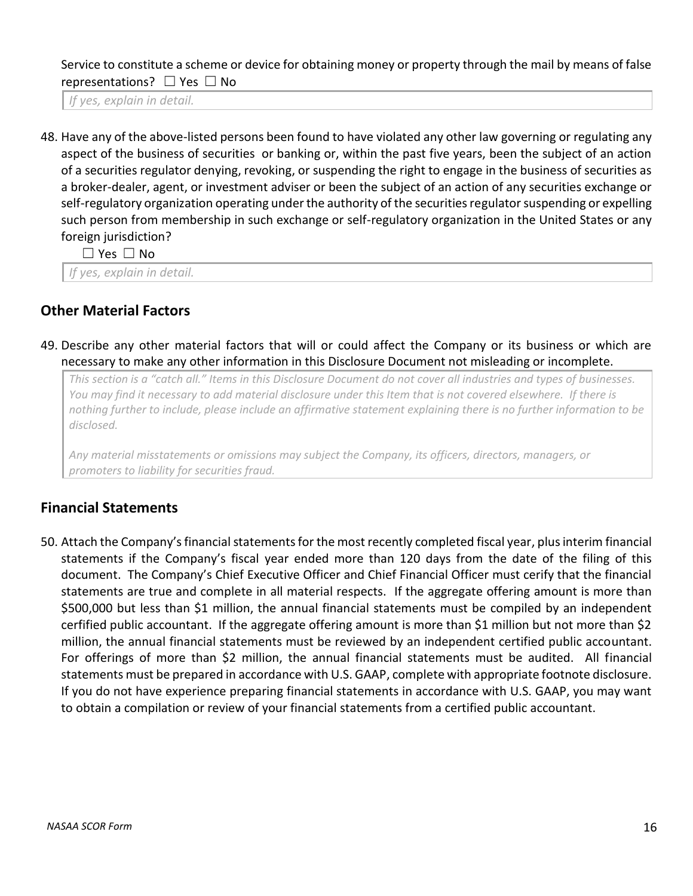Service to constitute a scheme or device for obtaining money or property through the mail by means of false representations? □ Yes □ No

*If yes, explain in detail.*

48. Have any of the above-listed persons been found to have violated any other law governing or regulating any aspect of the business of securities or banking or, within the past five years, been the subject of an action of a securities regulator denying, revoking, or suspending the right to engage in the business of securities as a broker-dealer, agent, or investment adviser or been the subject of an action of any securities exchange or self-regulatory organization operating under the authority of the securities regulator suspending or expelling such person from membership in such exchange or self-regulatory organization in the United States or any foreign jurisdiction?

☐ Yes ☐ No

*If yes, explain in detail.*

## **Other Material Factors**

49. Describe any other material factors that will or could affect the Company or its business or which are necessary to make any other information in this Disclosure Document not misleading or incomplete.

*This section is a "catch all." Items in this Disclosure Document do not cover all industries and types of businesses. You may find it necessary to add material disclosure under this Item that is not covered elsewhere. If there is nothing further to include, please include an affirmative statement explaining there is no further information to be disclosed.*

*Any material misstatements or omissions may subject the Company, its officers, directors, managers, or promoters to liability for securities fraud.*

## **Financial Statements**

50. Attach the Company's financial statements for the most recently completed fiscal year, plus interim financial statements if the Company's fiscal year ended more than 120 days from the date of the filing of this document. The Company's Chief Executive Officer and Chief Financial Officer must cerify that the financial statements are true and complete in all material respects. If the aggregate offering amount is more than \$500,000 but less than \$1 million, the annual financial statements must be compiled by an independent cerfified public accountant. If the aggregate offering amount is more than \$1 million but not more than \$2 million, the annual financial statements must be reviewed by an independent certified public accountant. For offerings of more than \$2 million, the annual financial statements must be audited. All financial statements must be prepared in accordance with U.S. GAAP, complete with appropriate footnote disclosure. If you do not have experience preparing financial statements in accordance with U.S. GAAP, you may want to obtain a compilation or review of your financial statements from a certified public accountant.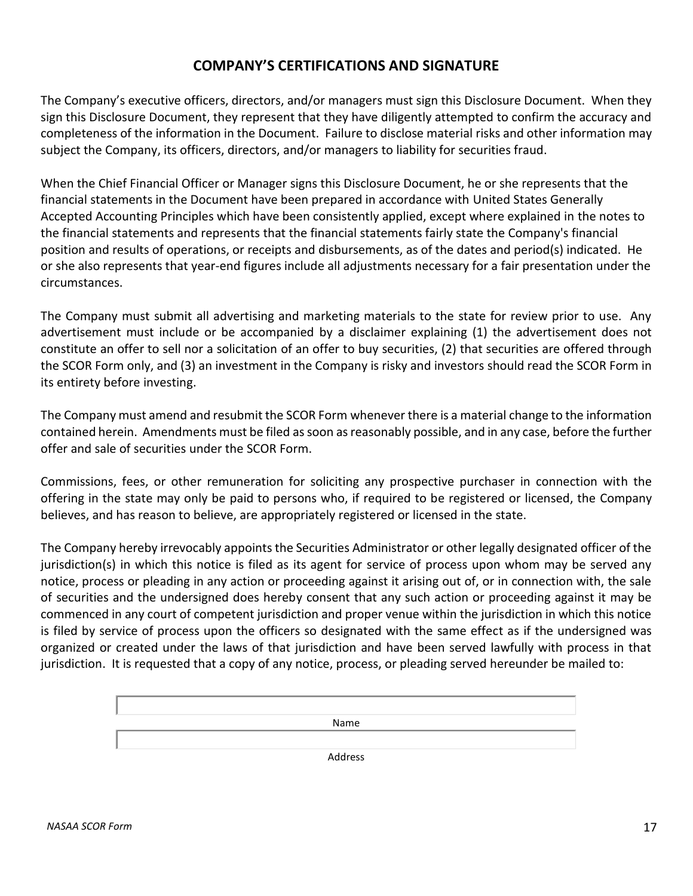## **COMPANY'S CERTIFICATIONS AND SIGNATURE**

The Company's executive officers, directors, and/or managers must sign this Disclosure Document. When they sign this Disclosure Document, they represent that they have diligently attempted to confirm the accuracy and completeness of the information in the Document. Failure to disclose material risks and other information may subject the Company, its officers, directors, and/or managers to liability for securities fraud.

When the Chief Financial Officer or Manager signs this Disclosure Document, he or she represents that the financial statements in the Document have been prepared in accordance with United States Generally Accepted Accounting Principles which have been consistently applied, except where explained in the notes to the financial statements and represents that the financial statements fairly state the Company's financial position and results of operations, or receipts and disbursements, as of the dates and period(s) indicated. He or she also represents that year-end figures include all adjustments necessary for a fair presentation under the circumstances.

The Company must submit all advertising and marketing materials to the state for review prior to use. Any advertisement must include or be accompanied by a disclaimer explaining (1) the advertisement does not constitute an offer to sell nor a solicitation of an offer to buy securities, (2) that securities are offered through the SCOR Form only, and (3) an investment in the Company is risky and investors should read the SCOR Form in its entirety before investing.

The Company must amend and resubmit the SCOR Form whenever there is a material change to the information contained herein. Amendments must be filed as soon as reasonably possible, and in any case, before the further offer and sale of securities under the SCOR Form.

Commissions, fees, or other remuneration for soliciting any prospective purchaser in connection with the offering in the state may only be paid to persons who, if required to be registered or licensed, the Company believes, and has reason to believe, are appropriately registered or licensed in the state.

The Company hereby irrevocably appoints the Securities Administrator or other legally designated officer of the jurisdiction(s) in which this notice is filed as its agent for service of process upon whom may be served any notice, process or pleading in any action or proceeding against it arising out of, or in connection with, the sale of securities and the undersigned does hereby consent that any such action or proceeding against it may be commenced in any court of competent jurisdiction and proper venue within the jurisdiction in which this notice is filed by service of process upon the officers so designated with the same effect as if the undersigned was organized or created under the laws of that jurisdiction and have been served lawfully with process in that jurisdiction. It is requested that a copy of any notice, process, or pleading served hereunder be mailed to:

Name

Address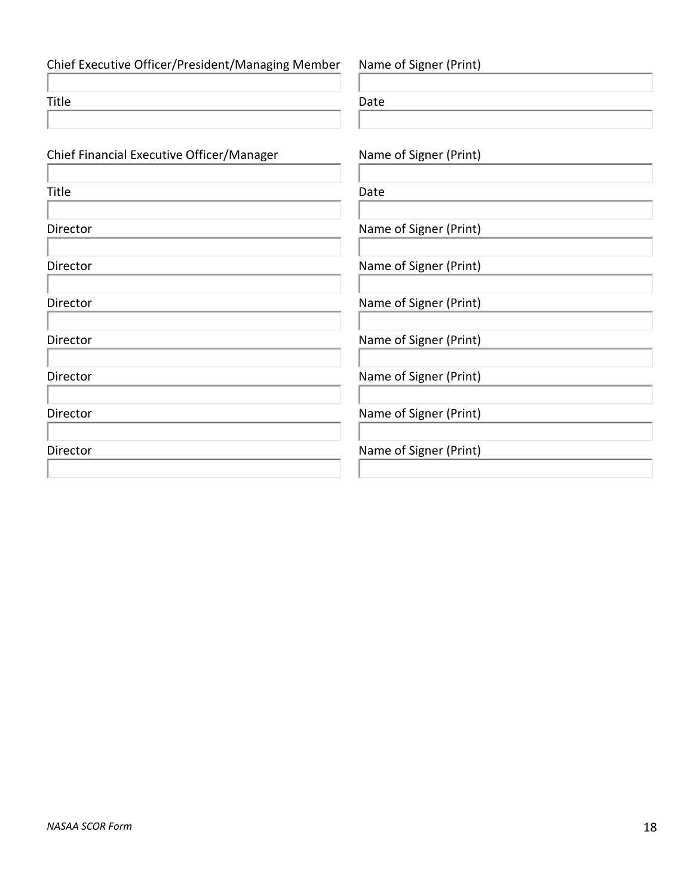Chief Executive Officer/President/Managing Member Name of Signer (Print) Title **Date** Chief Financial Executive Officer/Manager Name of Signer (Print) Title **Date** Director **Name of Signer (Print)** Director **Name of Signer (Print)** Director **Name of Signer (Print)** Director **Name of Signer (Print)** Director **Name of Signer (Print)** Director **Name of Signer (Print)** 

Director **Name of Signer (Print)**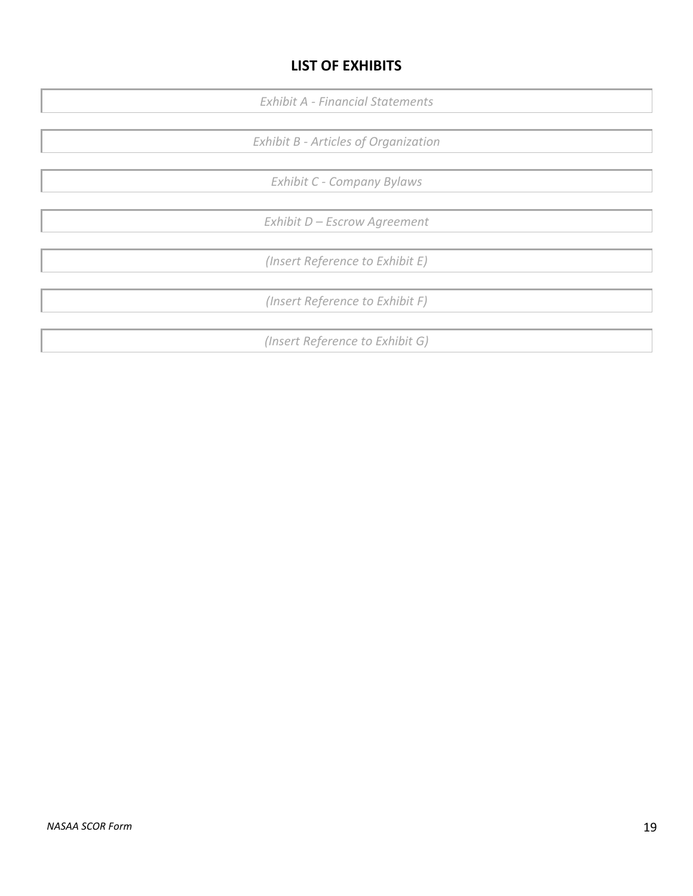# **LIST OF EXHIBITS**

*Exhibit A - Financial Statements*

*Exhibit B - Articles of Organization*

*Exhibit C - Company Bylaws*

*Exhibit D – Escrow Agreement*

*(Insert Reference to Exhibit E)*

*(Insert Reference to Exhibit F)*

*(Insert Reference to Exhibit G)*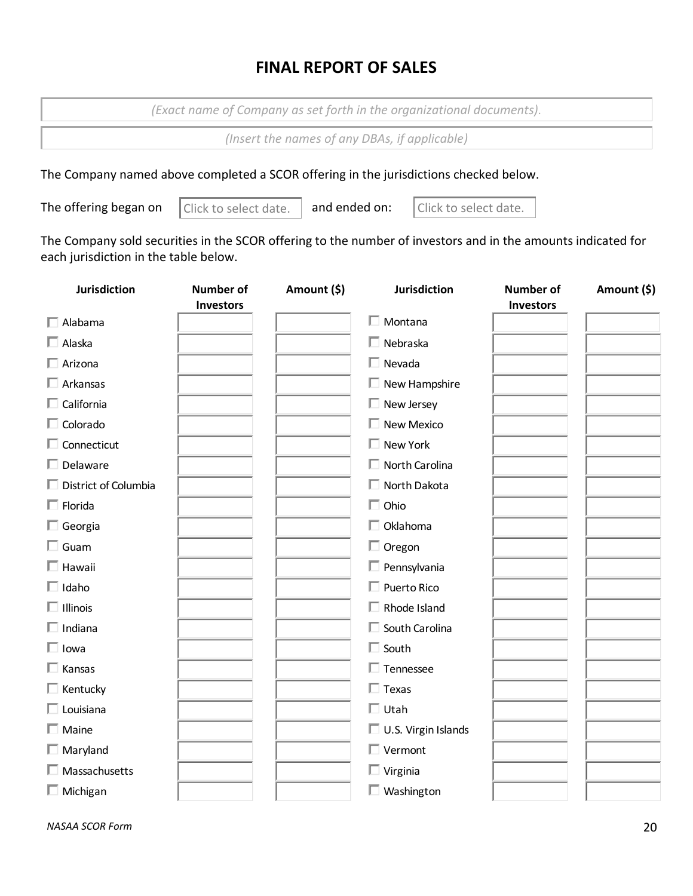# **FINAL REPORT OF SALES**

*(Exact name of Company as set forth in the organizational documents).*

*(Insert the names of any DBAs, if applicable)*

The Company named above completed a SCOR offering in the jurisdictions checked below.

The offering began on  $\vert$  Click to select date.  $\vert$  and ended on:

Click to select date.  $\vert$  and ended on:  $\vert$  Click to select date.

The Company sold securities in the SCOR offering to the number of investors and in the amounts indicated for each jurisdiction in the table below.

| <b>Jurisdiction</b>         | <b>Number of</b><br><b>Investors</b> | Amount (\$) | <b>Jurisdiction</b>        | <b>Number of</b><br><b>Investors</b> | Amount (\$) |
|-----------------------------|--------------------------------------|-------------|----------------------------|--------------------------------------|-------------|
| $\Box$ Alabama              |                                      |             | $\Box$ Montana             |                                      |             |
| $\Box$ Alaska               |                                      |             | $\Box$ Nebraska            |                                      |             |
| $\Box$ Arizona              |                                      |             | $\Box$ Nevada              |                                      |             |
| $\Box$ Arkansas             |                                      |             | $\Box$ New Hampshire       |                                      |             |
| $\Box$ California           |                                      |             | $\Box$ New Jersey          |                                      |             |
| $\Box$ Colorado             |                                      |             | $\Box$ New Mexico          |                                      |             |
| $\Box$ Connecticut          |                                      |             | $\Box$ New York            |                                      |             |
| $\Box$ Delaware             |                                      |             | $\Box$ North Carolina      |                                      |             |
| $\Box$ District of Columbia |                                      |             | □ North Dakota             |                                      |             |
| $\Box$ Florida              |                                      |             | $\Box$ Ohio                |                                      |             |
| $\Box$ Georgia              |                                      |             | $\Box$ Oklahoma            |                                      |             |
| $\Box$ Guam                 |                                      |             | $\Box$ Oregon              |                                      |             |
| $\Box$ Hawaii               |                                      |             | $\Box$ Pennsylvania        |                                      |             |
| $\Box$ Idaho                |                                      |             | $\Box$ Puerto Rico         |                                      |             |
| $\Box$ Illinois             |                                      |             | $\Box$ Rhode Island        |                                      |             |
| $\Box$ Indiana              |                                      |             | $\Box$ South Carolina      |                                      |             |
| $\Box$ Iowa                 |                                      |             | $\Box$ South               |                                      |             |
| $\Box$ Kansas               |                                      |             | $\Box$ Tennessee           |                                      |             |
| $\Box$ Kentucky             |                                      |             | $\Box$ Texas               |                                      |             |
| $\Box$ Louisiana            |                                      |             | $\Box$ Utah                |                                      |             |
| $\Box$ Maine                |                                      |             | $\Box$ U.S. Virgin Islands |                                      |             |
| $\Box$ Maryland             |                                      |             | $\Box$ Vermont             |                                      |             |
| $\Box$ Massachusetts        |                                      |             | $\Box$ Virginia            |                                      |             |
| $\Box$ Michigan             |                                      |             | $\Box$ Washington          |                                      |             |